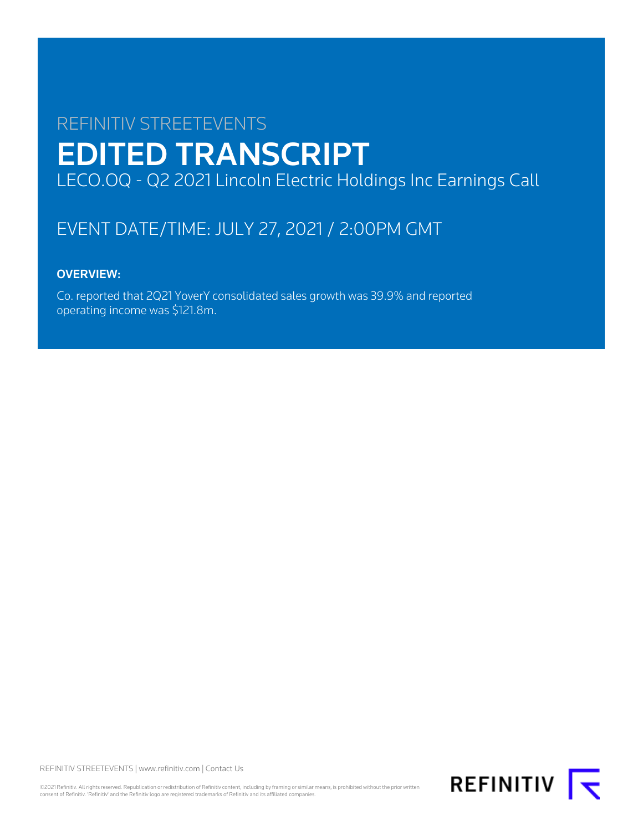# REFINITIV STREETEVENTS EDITED TRANSCRIPT LECO.OQ - Q2 2021 Lincoln Electric Holdings Inc Earnings Call

# EVENT DATE/TIME: JULY 27, 2021 / 2:00PM GMT

# OVERVIEW:

Co. reported that 2Q21 YoverY consolidated sales growth was 39.9% and reported operating income was \$121.8m.

REFINITIV STREETEVENTS | [www.refinitiv.com](https://www.refinitiv.com/) | [Contact Us](https://www.refinitiv.com/en/contact-us)

©2021 Refinitiv. All rights reserved. Republication or redistribution of Refinitiv content, including by framing or similar means, is prohibited without the prior written consent of Refinitiv. 'Refinitiv' and the Refinitiv logo are registered trademarks of Refinitiv and its affiliated companies.

**REFINITIV**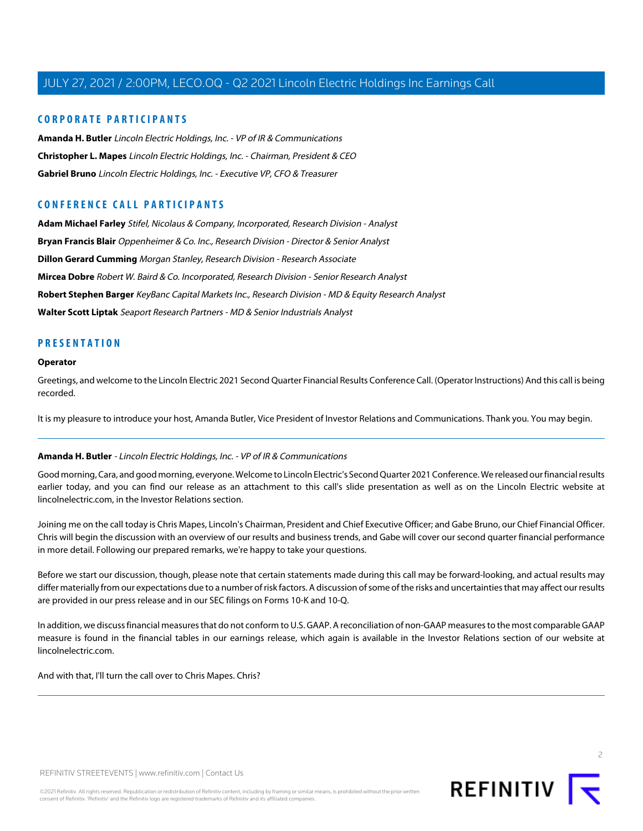## **CORPORATE PARTICIPANTS**

**[Amanda H. Butler](#page-1-0)** Lincoln Electric Holdings, Inc. - VP of IR & Communications **[Christopher L. Mapes](#page-2-0)** Lincoln Electric Holdings, Inc. - Chairman, President & CEO **[Gabriel Bruno](#page-3-0)** Lincoln Electric Holdings, Inc. - Executive VP, CFO & Treasurer

## **CONFERENCE CALL PARTICIPANTS**

**[Adam Michael Farley](#page-9-0)** Stifel, Nicolaus & Company, Incorporated, Research Division - Analyst **[Bryan Francis Blair](#page-4-0)** Oppenheimer & Co. Inc., Research Division - Director & Senior Analyst **[Dillon Gerard Cumming](#page-8-0)** Morgan Stanley, Research Division - Research Associate **[Mircea Dobre](#page-6-0)** Robert W. Baird & Co. Incorporated, Research Division - Senior Research Analyst **[Robert Stephen Barger](#page-7-0)** KeyBanc Capital Markets Inc., Research Division - MD & Equity Research Analyst **[Walter Scott Liptak](#page-10-0)** Seaport Research Partners - MD & Senior Industrials Analyst

## **PRESENTATION**

#### **Operator**

Greetings, and welcome to the Lincoln Electric 2021 Second Quarter Financial Results Conference Call. (Operator Instructions) And this call is being recorded.

<span id="page-1-0"></span>It is my pleasure to introduce your host, Amanda Butler, Vice President of Investor Relations and Communications. Thank you. You may begin.

## **Amanda H. Butler** - Lincoln Electric Holdings, Inc. - VP of IR & Communications

Good morning, Cara, and good morning, everyone. Welcome to Lincoln Electric's Second Quarter 2021 Conference. We released our financial results earlier today, and you can find our release as an attachment to this call's slide presentation as well as on the Lincoln Electric website at lincolnelectric.com, in the Investor Relations section.

Joining me on the call today is Chris Mapes, Lincoln's Chairman, President and Chief Executive Officer; and Gabe Bruno, our Chief Financial Officer. Chris will begin the discussion with an overview of our results and business trends, and Gabe will cover our second quarter financial performance in more detail. Following our prepared remarks, we're happy to take your questions.

Before we start our discussion, though, please note that certain statements made during this call may be forward-looking, and actual results may differ materially from our expectations due to a number of risk factors. A discussion of some of the risks and uncertainties that may affect our results are provided in our press release and in our SEC filings on Forms 10-K and 10-Q.

In addition, we discuss financial measures that do not conform to U.S. GAAP. A reconciliation of non-GAAP measures to the most comparable GAAP measure is found in the financial tables in our earnings release, which again is available in the Investor Relations section of our website at lincolnelectric.com.

And with that, I'll turn the call over to Chris Mapes. Chris?

 $\supset$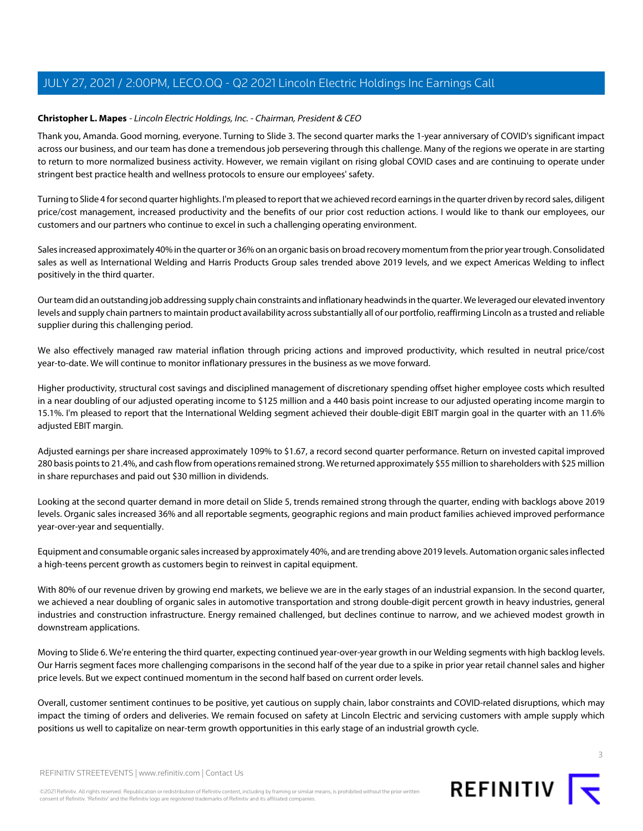## <span id="page-2-0"></span>**Christopher L. Mapes** - Lincoln Electric Holdings, Inc. - Chairman, President & CEO

Thank you, Amanda. Good morning, everyone. Turning to Slide 3. The second quarter marks the 1-year anniversary of COVID's significant impact across our business, and our team has done a tremendous job persevering through this challenge. Many of the regions we operate in are starting to return to more normalized business activity. However, we remain vigilant on rising global COVID cases and are continuing to operate under stringent best practice health and wellness protocols to ensure our employees' safety.

Turning to Slide 4 for second quarter highlights. I'm pleased to report that we achieved record earnings in the quarter driven by record sales, diligent price/cost management, increased productivity and the benefits of our prior cost reduction actions. I would like to thank our employees, our customers and our partners who continue to excel in such a challenging operating environment.

Sales increased approximately 40% in the quarter or 36% on an organic basis on broad recovery momentum from the prior year trough. Consolidated sales as well as International Welding and Harris Products Group sales trended above 2019 levels, and we expect Americas Welding to inflect positively in the third quarter.

Our team did an outstanding job addressing supply chain constraints and inflationary headwinds in the quarter. We leveraged our elevated inventory levels and supply chain partners to maintain product availability across substantially all of our portfolio, reaffirming Lincoln as a trusted and reliable supplier during this challenging period.

We also effectively managed raw material inflation through pricing actions and improved productivity, which resulted in neutral price/cost year-to-date. We will continue to monitor inflationary pressures in the business as we move forward.

Higher productivity, structural cost savings and disciplined management of discretionary spending offset higher employee costs which resulted in a near doubling of our adjusted operating income to \$125 million and a 440 basis point increase to our adjusted operating income margin to 15.1%. I'm pleased to report that the International Welding segment achieved their double-digit EBIT margin goal in the quarter with an 11.6% adjusted EBIT margin.

Adjusted earnings per share increased approximately 109% to \$1.67, a record second quarter performance. Return on invested capital improved 280 basis points to 21.4%, and cash flow from operations remained strong. We returned approximately \$55 million to shareholders with \$25 million in share repurchases and paid out \$30 million in dividends.

Looking at the second quarter demand in more detail on Slide 5, trends remained strong through the quarter, ending with backlogs above 2019 levels. Organic sales increased 36% and all reportable segments, geographic regions and main product families achieved improved performance year-over-year and sequentially.

Equipment and consumable organic sales increased by approximately 40%, and are trending above 2019 levels. Automation organic sales inflected a high-teens percent growth as customers begin to reinvest in capital equipment.

With 80% of our revenue driven by growing end markets, we believe we are in the early stages of an industrial expansion. In the second quarter, we achieved a near doubling of organic sales in automotive transportation and strong double-digit percent growth in heavy industries, general industries and construction infrastructure. Energy remained challenged, but declines continue to narrow, and we achieved modest growth in downstream applications.

Moving to Slide 6. We're entering the third quarter, expecting continued year-over-year growth in our Welding segments with high backlog levels. Our Harris segment faces more challenging comparisons in the second half of the year due to a spike in prior year retail channel sales and higher price levels. But we expect continued momentum in the second half based on current order levels.

Overall, customer sentiment continues to be positive, yet cautious on supply chain, labor constraints and COVID-related disruptions, which may impact the timing of orders and deliveries. We remain focused on safety at Lincoln Electric and servicing customers with ample supply which positions us well to capitalize on near-term growth opportunities in this early stage of an industrial growth cycle.



3

REFINITIV STREETEVENTS | [www.refinitiv.com](https://www.refinitiv.com/) | [Contact Us](https://www.refinitiv.com/en/contact-us)

©2021 Refinitiv. All rights reserved. Republication or redistribution of Refinitiv content, including by framing or similar means, is prohibited without the prior written consent of Refinitiv. 'Refinitiv' and the Refinitiv logo are registered trademarks of Refinitiv and its affiliated companies.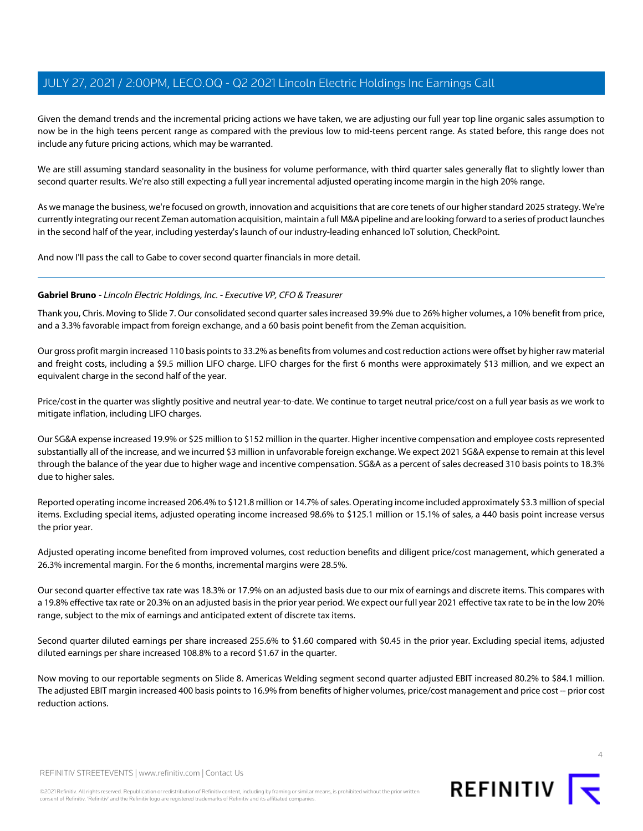Given the demand trends and the incremental pricing actions we have taken, we are adjusting our full year top line organic sales assumption to now be in the high teens percent range as compared with the previous low to mid-teens percent range. As stated before, this range does not include any future pricing actions, which may be warranted.

We are still assuming standard seasonality in the business for volume performance, with third quarter sales generally flat to slightly lower than second quarter results. We're also still expecting a full year incremental adjusted operating income margin in the high 20% range.

As we manage the business, we're focused on growth, innovation and acquisitions that are core tenets of our higher standard 2025 strategy. We're currently integrating our recent Zeman automation acquisition, maintain a full M&A pipeline and are looking forward to a series of product launches in the second half of the year, including yesterday's launch of our industry-leading enhanced IoT solution, CheckPoint.

<span id="page-3-0"></span>And now I'll pass the call to Gabe to cover second quarter financials in more detail.

## **Gabriel Bruno** - Lincoln Electric Holdings, Inc. - Executive VP, CFO & Treasurer

Thank you, Chris. Moving to Slide 7. Our consolidated second quarter sales increased 39.9% due to 26% higher volumes, a 10% benefit from price, and a 3.3% favorable impact from foreign exchange, and a 60 basis point benefit from the Zeman acquisition.

Our gross profit margin increased 110 basis points to 33.2% as benefits from volumes and cost reduction actions were offset by higher raw material and freight costs, including a \$9.5 million LIFO charge. LIFO charges for the first 6 months were approximately \$13 million, and we expect an equivalent charge in the second half of the year.

Price/cost in the quarter was slightly positive and neutral year-to-date. We continue to target neutral price/cost on a full year basis as we work to mitigate inflation, including LIFO charges.

Our SG&A expense increased 19.9% or \$25 million to \$152 million in the quarter. Higher incentive compensation and employee costs represented substantially all of the increase, and we incurred \$3 million in unfavorable foreign exchange. We expect 2021 SG&A expense to remain at this level through the balance of the year due to higher wage and incentive compensation. SG&A as a percent of sales decreased 310 basis points to 18.3% due to higher sales.

Reported operating income increased 206.4% to \$121.8 million or 14.7% of sales. Operating income included approximately \$3.3 million of special items. Excluding special items, adjusted operating income increased 98.6% to \$125.1 million or 15.1% of sales, a 440 basis point increase versus the prior year.

Adjusted operating income benefited from improved volumes, cost reduction benefits and diligent price/cost management, which generated a 26.3% incremental margin. For the 6 months, incremental margins were 28.5%.

Our second quarter effective tax rate was 18.3% or 17.9% on an adjusted basis due to our mix of earnings and discrete items. This compares with a 19.8% effective tax rate or 20.3% on an adjusted basis in the prior year period. We expect our full year 2021 effective tax rate to be in the low 20% range, subject to the mix of earnings and anticipated extent of discrete tax items.

Second quarter diluted earnings per share increased 255.6% to \$1.60 compared with \$0.45 in the prior year. Excluding special items, adjusted diluted earnings per share increased 108.8% to a record \$1.67 in the quarter.

Now moving to our reportable segments on Slide 8. Americas Welding segment second quarter adjusted EBIT increased 80.2% to \$84.1 million. The adjusted EBIT margin increased 400 basis points to 16.9% from benefits of higher volumes, price/cost management and price cost -- prior cost reduction actions.





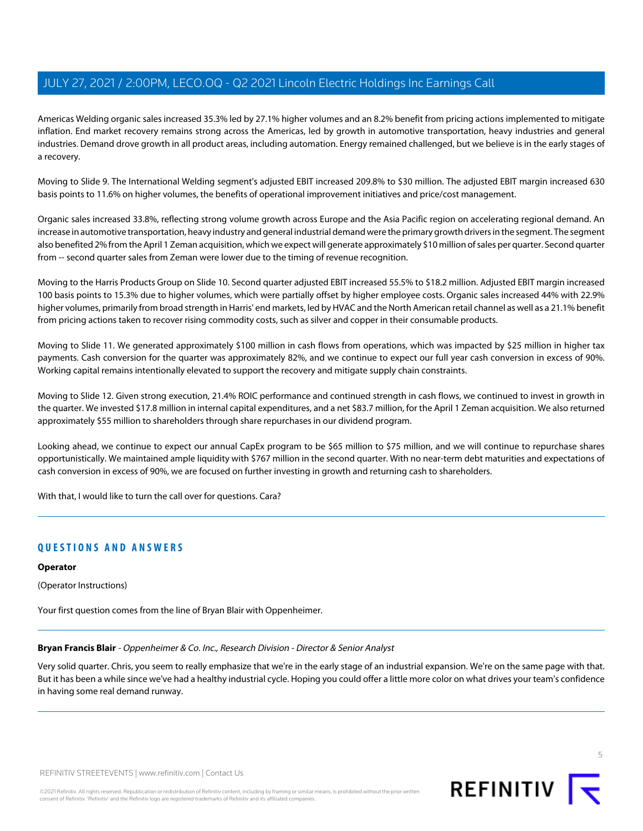Americas Welding organic sales increased 35.3% led by 27.1% higher volumes and an 8.2% benefit from pricing actions implemented to mitigate inflation. End market recovery remains strong across the Americas, led by growth in automotive transportation, heavy industries and general industries. Demand drove growth in all product areas, including automation. Energy remained challenged, but we believe is in the early stages of a recovery.

Moving to Slide 9. The International Welding segment's adjusted EBIT increased 209.8% to \$30 million. The adjusted EBIT margin increased 630 basis points to 11.6% on higher volumes, the benefits of operational improvement initiatives and price/cost management.

Organic sales increased 33.8%, reflecting strong volume growth across Europe and the Asia Pacific region on accelerating regional demand. An increase in automotive transportation, heavy industry and general industrial demand were the primary growth drivers in the segment. The segment also benefited 2% from the April 1 Zeman acquisition, which we expect will generate approximately \$10 million of sales per quarter. Second quarter from -- second quarter sales from Zeman were lower due to the timing of revenue recognition.

Moving to the Harris Products Group on Slide 10. Second quarter adjusted EBIT increased 55.5% to \$18.2 million. Adjusted EBIT margin increased 100 basis points to 15.3% due to higher volumes, which were partially offset by higher employee costs. Organic sales increased 44% with 22.9% higher volumes, primarily from broad strength in Harris' end markets, led by HVAC and the North American retail channel as well as a 21.1% benefit from pricing actions taken to recover rising commodity costs, such as silver and copper in their consumable products.

Moving to Slide 11. We generated approximately \$100 million in cash flows from operations, which was impacted by \$25 million in higher tax payments. Cash conversion for the quarter was approximately 82%, and we continue to expect our full year cash conversion in excess of 90%. Working capital remains intentionally elevated to support the recovery and mitigate supply chain constraints.

Moving to Slide 12. Given strong execution, 21.4% ROIC performance and continued strength in cash flows, we continued to invest in growth in the quarter. We invested \$17.8 million in internal capital expenditures, and a net \$83.7 million, for the April 1 Zeman acquisition. We also returned approximately \$55 million to shareholders through share repurchases in our dividend program.

Looking ahead, we continue to expect our annual CapEx program to be \$65 million to \$75 million, and we will continue to repurchase shares opportunistically. We maintained ample liquidity with \$767 million in the second quarter. With no near-term debt maturities and expectations of cash conversion in excess of 90%, we are focused on further investing in growth and returning cash to shareholders.

With that, I would like to turn the call over for questions. Cara?

## **QUESTIONS AND ANSWERS**

#### **Operator**

<span id="page-4-0"></span>(Operator Instructions)

Your first question comes from the line of Bryan Blair with Oppenheimer.

**Bryan Francis Blair** - Oppenheimer & Co. Inc., Research Division - Director & Senior Analyst

Very solid quarter. Chris, you seem to really emphasize that we're in the early stage of an industrial expansion. We're on the same page with that. But it has been a while since we've had a healthy industrial cycle. Hoping you could offer a little more color on what drives your team's confidence in having some real demand runway.

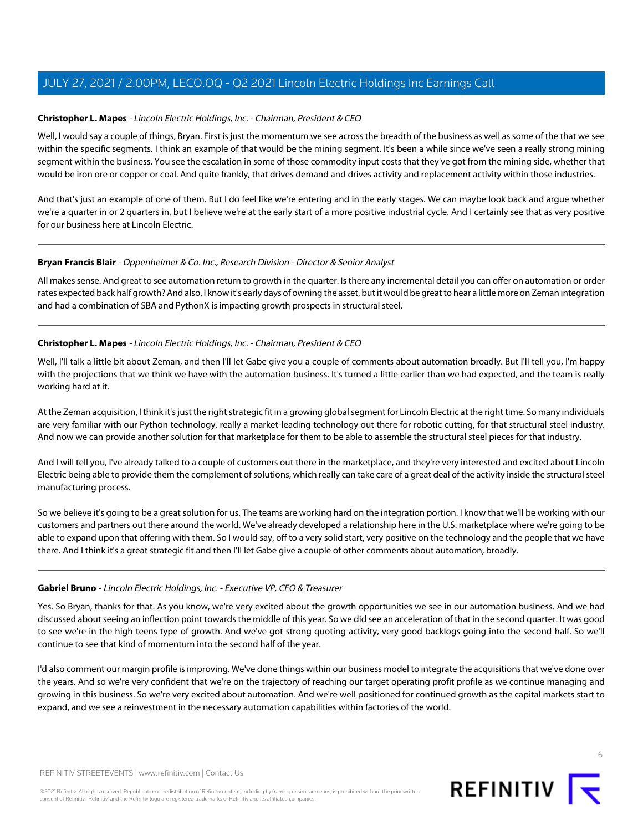## **Christopher L. Mapes** - Lincoln Electric Holdings, Inc. - Chairman, President & CEO

Well, I would say a couple of things, Bryan. First is just the momentum we see across the breadth of the business as well as some of the that we see within the specific segments. I think an example of that would be the mining segment. It's been a while since we've seen a really strong mining segment within the business. You see the escalation in some of those commodity input costs that they've got from the mining side, whether that would be iron ore or copper or coal. And quite frankly, that drives demand and drives activity and replacement activity within those industries.

And that's just an example of one of them. But I do feel like we're entering and in the early stages. We can maybe look back and argue whether we're a quarter in or 2 quarters in, but I believe we're at the early start of a more positive industrial cycle. And I certainly see that as very positive for our business here at Lincoln Electric.

#### **Bryan Francis Blair** - Oppenheimer & Co. Inc., Research Division - Director & Senior Analyst

All makes sense. And great to see automation return to growth in the quarter. Is there any incremental detail you can offer on automation or order rates expected back half growth? And also, I know it's early days of owning the asset, but it would be great to hear a little more on Zeman integration and had a combination of SBA and PythonX is impacting growth prospects in structural steel.

## **Christopher L. Mapes** - Lincoln Electric Holdings, Inc. - Chairman, President & CEO

Well, I'll talk a little bit about Zeman, and then I'll let Gabe give you a couple of comments about automation broadly. But I'll tell you, I'm happy with the projections that we think we have with the automation business. It's turned a little earlier than we had expected, and the team is really working hard at it.

At the Zeman acquisition, I think it's just the right strategic fit in a growing global segment for Lincoln Electric at the right time. So many individuals are very familiar with our Python technology, really a market-leading technology out there for robotic cutting, for that structural steel industry. And now we can provide another solution for that marketplace for them to be able to assemble the structural steel pieces for that industry.

And I will tell you, I've already talked to a couple of customers out there in the marketplace, and they're very interested and excited about Lincoln Electric being able to provide them the complement of solutions, which really can take care of a great deal of the activity inside the structural steel manufacturing process.

So we believe it's going to be a great solution for us. The teams are working hard on the integration portion. I know that we'll be working with our customers and partners out there around the world. We've already developed a relationship here in the U.S. marketplace where we're going to be able to expand upon that offering with them. So I would say, off to a very solid start, very positive on the technology and the people that we have there. And I think it's a great strategic fit and then I'll let Gabe give a couple of other comments about automation, broadly.

#### **Gabriel Bruno** - Lincoln Electric Holdings, Inc. - Executive VP, CFO & Treasurer

Yes. So Bryan, thanks for that. As you know, we're very excited about the growth opportunities we see in our automation business. And we had discussed about seeing an inflection point towards the middle of this year. So we did see an acceleration of that in the second quarter. It was good to see we're in the high teens type of growth. And we've got strong quoting activity, very good backlogs going into the second half. So we'll continue to see that kind of momentum into the second half of the year.

I'd also comment our margin profile is improving. We've done things within our business model to integrate the acquisitions that we've done over the years. And so we're very confident that we're on the trajectory of reaching our target operating profit profile as we continue managing and growing in this business. So we're very excited about automation. And we're well positioned for continued growth as the capital markets start to expand, and we see a reinvestment in the necessary automation capabilities within factories of the world.

6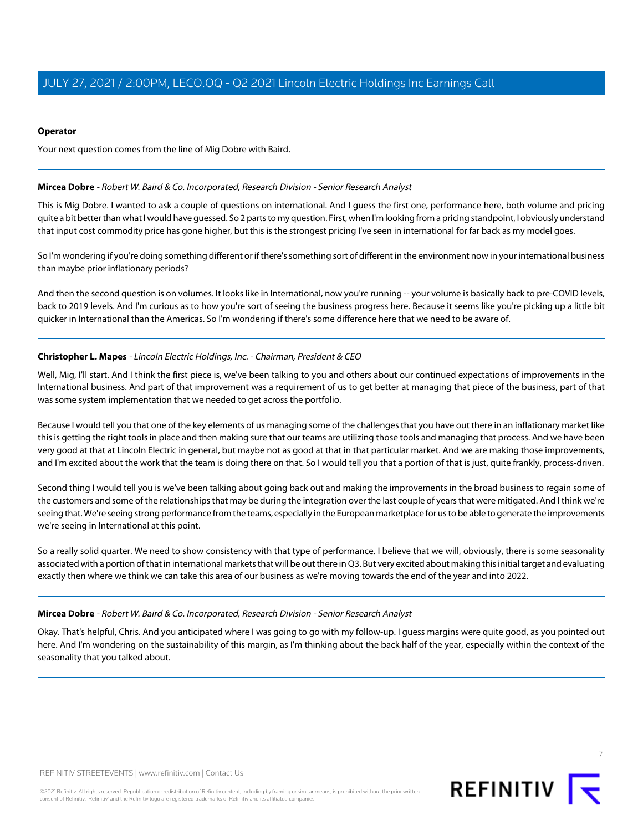## **Operator**

<span id="page-6-0"></span>Your next question comes from the line of Mig Dobre with Baird.

#### **Mircea Dobre** - Robert W. Baird & Co. Incorporated, Research Division - Senior Research Analyst

This is Mig Dobre. I wanted to ask a couple of questions on international. And I guess the first one, performance here, both volume and pricing quite a bit better than what I would have guessed. So 2 parts to my question. First, when I'm looking from a pricing standpoint, I obviously understand that input cost commodity price has gone higher, but this is the strongest pricing I've seen in international for far back as my model goes.

So I'm wondering if you're doing something different or if there's something sort of different in the environment now in your international business than maybe prior inflationary periods?

And then the second question is on volumes. It looks like in International, now you're running -- your volume is basically back to pre-COVID levels, back to 2019 levels. And I'm curious as to how you're sort of seeing the business progress here. Because it seems like you're picking up a little bit quicker in International than the Americas. So I'm wondering if there's some difference here that we need to be aware of.

## **Christopher L. Mapes** - Lincoln Electric Holdings, Inc. - Chairman, President & CEO

Well, Mig, I'll start. And I think the first piece is, we've been talking to you and others about our continued expectations of improvements in the International business. And part of that improvement was a requirement of us to get better at managing that piece of the business, part of that was some system implementation that we needed to get across the portfolio.

Because I would tell you that one of the key elements of us managing some of the challenges that you have out there in an inflationary market like this is getting the right tools in place and then making sure that our teams are utilizing those tools and managing that process. And we have been very good at that at Lincoln Electric in general, but maybe not as good at that in that particular market. And we are making those improvements, and I'm excited about the work that the team is doing there on that. So I would tell you that a portion of that is just, quite frankly, process-driven.

Second thing I would tell you is we've been talking about going back out and making the improvements in the broad business to regain some of the customers and some of the relationships that may be during the integration over the last couple of years that were mitigated. And I think we're seeing that. We're seeing strong performance from the teams, especially in the European marketplace for us to be able to generate the improvements we're seeing in International at this point.

So a really solid quarter. We need to show consistency with that type of performance. I believe that we will, obviously, there is some seasonality associated with a portion of that in international markets that will be out there in Q3. But very excited about making this initial target and evaluating exactly then where we think we can take this area of our business as we're moving towards the end of the year and into 2022.

## **Mircea Dobre** - Robert W. Baird & Co. Incorporated, Research Division - Senior Research Analyst

Okay. That's helpful, Chris. And you anticipated where I was going to go with my follow-up. I guess margins were quite good, as you pointed out here. And I'm wondering on the sustainability of this margin, as I'm thinking about the back half of the year, especially within the context of the seasonality that you talked about.

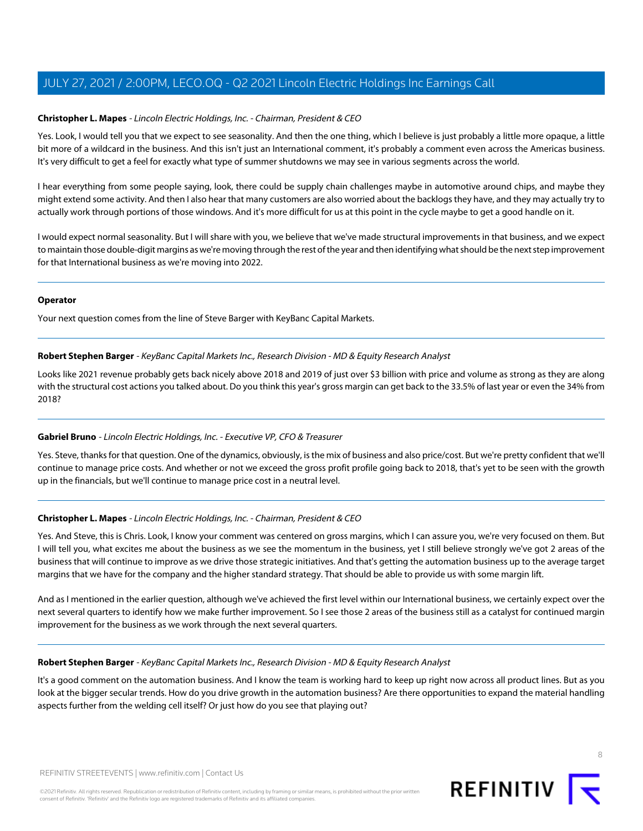## **Christopher L. Mapes** - Lincoln Electric Holdings, Inc. - Chairman, President & CEO

Yes. Look, I would tell you that we expect to see seasonality. And then the one thing, which I believe is just probably a little more opaque, a little bit more of a wildcard in the business. And this isn't just an International comment, it's probably a comment even across the Americas business. It's very difficult to get a feel for exactly what type of summer shutdowns we may see in various segments across the world.

I hear everything from some people saying, look, there could be supply chain challenges maybe in automotive around chips, and maybe they might extend some activity. And then I also hear that many customers are also worried about the backlogs they have, and they may actually try to actually work through portions of those windows. And it's more difficult for us at this point in the cycle maybe to get a good handle on it.

I would expect normal seasonality. But I will share with you, we believe that we've made structural improvements in that business, and we expect to maintain those double-digit margins as we're moving through the rest of the year and then identifying what should be the next step improvement for that International business as we're moving into 2022.

#### **Operator**

<span id="page-7-0"></span>Your next question comes from the line of Steve Barger with KeyBanc Capital Markets.

## **Robert Stephen Barger** - KeyBanc Capital Markets Inc., Research Division - MD & Equity Research Analyst

Looks like 2021 revenue probably gets back nicely above 2018 and 2019 of just over \$3 billion with price and volume as strong as they are along with the structural cost actions you talked about. Do you think this year's gross margin can get back to the 33.5% of last year or even the 34% from 2018?

## **Gabriel Bruno** - Lincoln Electric Holdings, Inc. - Executive VP, CFO & Treasurer

Yes. Steve, thanks for that question. One of the dynamics, obviously, is the mix of business and also price/cost. But we're pretty confident that we'll continue to manage price costs. And whether or not we exceed the gross profit profile going back to 2018, that's yet to be seen with the growth up in the financials, but we'll continue to manage price cost in a neutral level.

## **Christopher L. Mapes** - Lincoln Electric Holdings, Inc. - Chairman, President & CEO

Yes. And Steve, this is Chris. Look, I know your comment was centered on gross margins, which I can assure you, we're very focused on them. But I will tell you, what excites me about the business as we see the momentum in the business, yet I still believe strongly we've got 2 areas of the business that will continue to improve as we drive those strategic initiatives. And that's getting the automation business up to the average target margins that we have for the company and the higher standard strategy. That should be able to provide us with some margin lift.

And as I mentioned in the earlier question, although we've achieved the first level within our International business, we certainly expect over the next several quarters to identify how we make further improvement. So I see those 2 areas of the business still as a catalyst for continued margin improvement for the business as we work through the next several quarters.

#### **Robert Stephen Barger** - KeyBanc Capital Markets Inc., Research Division - MD & Equity Research Analyst

It's a good comment on the automation business. And I know the team is working hard to keep up right now across all product lines. But as you look at the bigger secular trends. How do you drive growth in the automation business? Are there opportunities to expand the material handling aspects further from the welding cell itself? Or just how do you see that playing out?



8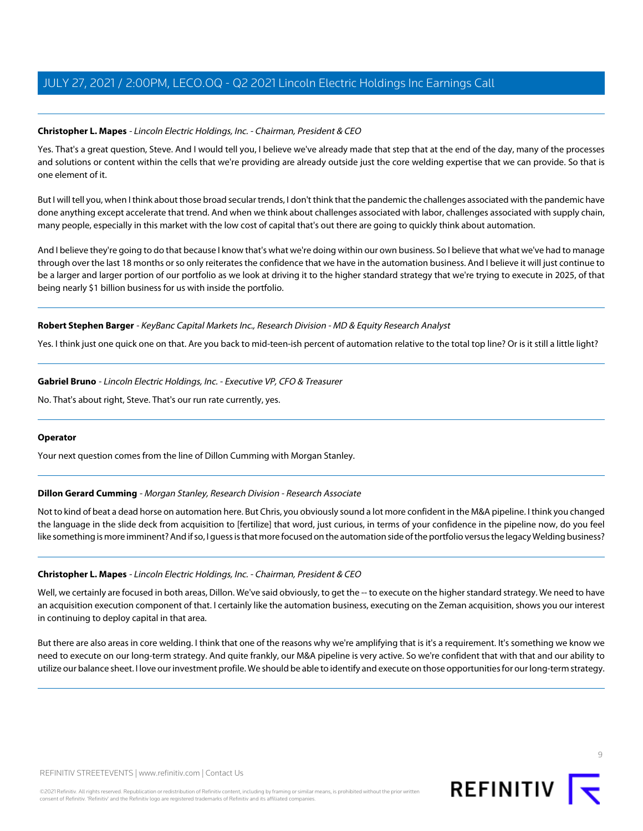## **Christopher L. Mapes** - Lincoln Electric Holdings, Inc. - Chairman, President & CEO

Yes. That's a great question, Steve. And I would tell you, I believe we've already made that step that at the end of the day, many of the processes and solutions or content within the cells that we're providing are already outside just the core welding expertise that we can provide. So that is one element of it.

But I will tell you, when I think about those broad secular trends, I don't think that the pandemic the challenges associated with the pandemic have done anything except accelerate that trend. And when we think about challenges associated with labor, challenges associated with supply chain, many people, especially in this market with the low cost of capital that's out there are going to quickly think about automation.

And I believe they're going to do that because I know that's what we're doing within our own business. So I believe that what we've had to manage through over the last 18 months or so only reiterates the confidence that we have in the automation business. And I believe it will just continue to be a larger and larger portion of our portfolio as we look at driving it to the higher standard strategy that we're trying to execute in 2025, of that being nearly \$1 billion business for us with inside the portfolio.

## **Robert Stephen Barger** - KeyBanc Capital Markets Inc., Research Division - MD & Equity Research Analyst

Yes. I think just one quick one on that. Are you back to mid-teen-ish percent of automation relative to the total top line? Or is it still a little light?

**Gabriel Bruno** - Lincoln Electric Holdings, Inc. - Executive VP, CFO & Treasurer

No. That's about right, Steve. That's our run rate currently, yes.

## <span id="page-8-0"></span>**Operator**

Your next question comes from the line of Dillon Cumming with Morgan Stanley.

## **Dillon Gerard Cumming** - Morgan Stanley, Research Division - Research Associate

Not to kind of beat a dead horse on automation here. But Chris, you obviously sound a lot more confident in the M&A pipeline. I think you changed the language in the slide deck from acquisition to [fertilize] that word, just curious, in terms of your confidence in the pipeline now, do you feel like something is more imminent? And if so, I guess is that more focused on the automation side of the portfolio versus the legacy Welding business?

## **Christopher L. Mapes** - Lincoln Electric Holdings, Inc. - Chairman, President & CEO

Well, we certainly are focused in both areas, Dillon. We've said obviously, to get the -- to execute on the higher standard strategy. We need to have an acquisition execution component of that. I certainly like the automation business, executing on the Zeman acquisition, shows you our interest in continuing to deploy capital in that area.

But there are also areas in core welding. I think that one of the reasons why we're amplifying that is it's a requirement. It's something we know we need to execute on our long-term strategy. And quite frankly, our M&A pipeline is very active. So we're confident that with that and our ability to utilize our balance sheet. I love our investment profile. We should be able to identify and execute on those opportunities for our long-term strategy.

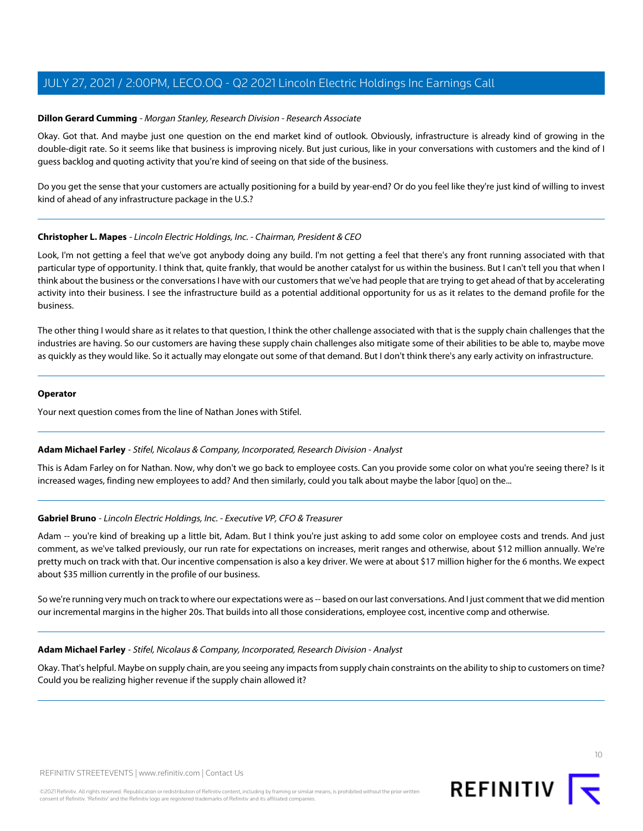#### **Dillon Gerard Cumming** - Morgan Stanley, Research Division - Research Associate

Okay. Got that. And maybe just one question on the end market kind of outlook. Obviously, infrastructure is already kind of growing in the double-digit rate. So it seems like that business is improving nicely. But just curious, like in your conversations with customers and the kind of I guess backlog and quoting activity that you're kind of seeing on that side of the business.

Do you get the sense that your customers are actually positioning for a build by year-end? Or do you feel like they're just kind of willing to invest kind of ahead of any infrastructure package in the U.S.?

## **Christopher L. Mapes** - Lincoln Electric Holdings, Inc. - Chairman, President & CEO

Look, I'm not getting a feel that we've got anybody doing any build. I'm not getting a feel that there's any front running associated with that particular type of opportunity. I think that, quite frankly, that would be another catalyst for us within the business. But I can't tell you that when I think about the business or the conversations I have with our customers that we've had people that are trying to get ahead of that by accelerating activity into their business. I see the infrastructure build as a potential additional opportunity for us as it relates to the demand profile for the business.

The other thing I would share as it relates to that question, I think the other challenge associated with that is the supply chain challenges that the industries are having. So our customers are having these supply chain challenges also mitigate some of their abilities to be able to, maybe move as quickly as they would like. So it actually may elongate out some of that demand. But I don't think there's any early activity on infrastructure.

#### **Operator**

<span id="page-9-0"></span>Your next question comes from the line of Nathan Jones with Stifel.

#### **Adam Michael Farley** - Stifel, Nicolaus & Company, Incorporated, Research Division - Analyst

This is Adam Farley on for Nathan. Now, why don't we go back to employee costs. Can you provide some color on what you're seeing there? Is it increased wages, finding new employees to add? And then similarly, could you talk about maybe the labor [quo] on the...

#### **Gabriel Bruno** - Lincoln Electric Holdings, Inc. - Executive VP, CFO & Treasurer

Adam -- you're kind of breaking up a little bit, Adam. But I think you're just asking to add some color on employee costs and trends. And just comment, as we've talked previously, our run rate for expectations on increases, merit ranges and otherwise, about \$12 million annually. We're pretty much on track with that. Our incentive compensation is also a key driver. We were at about \$17 million higher for the 6 months. We expect about \$35 million currently in the profile of our business.

So we're running very much on track to where our expectations were as -- based on our last conversations. And I just comment that we did mention our incremental margins in the higher 20s. That builds into all those considerations, employee cost, incentive comp and otherwise.

#### **Adam Michael Farley** - Stifel, Nicolaus & Company, Incorporated, Research Division - Analyst

Okay. That's helpful. Maybe on supply chain, are you seeing any impacts from supply chain constraints on the ability to ship to customers on time? Could you be realizing higher revenue if the supply chain allowed it?

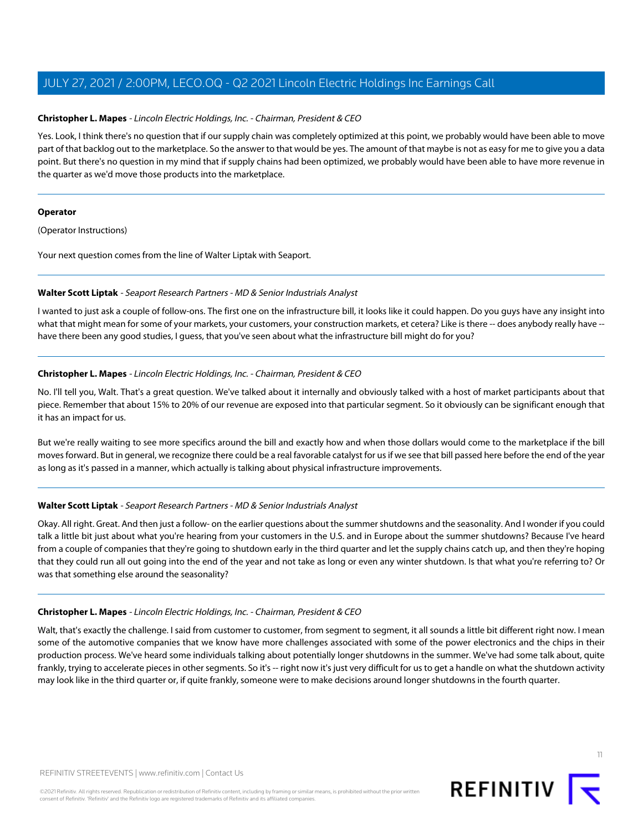## **Christopher L. Mapes** - Lincoln Electric Holdings, Inc. - Chairman, President & CEO

Yes. Look, I think there's no question that if our supply chain was completely optimized at this point, we probably would have been able to move part of that backlog out to the marketplace. So the answer to that would be yes. The amount of that maybe is not as easy for me to give you a data point. But there's no question in my mind that if supply chains had been optimized, we probably would have been able to have more revenue in the quarter as we'd move those products into the marketplace.

#### **Operator**

(Operator Instructions)

<span id="page-10-0"></span>Your next question comes from the line of Walter Liptak with Seaport.

## **Walter Scott Liptak** - Seaport Research Partners - MD & Senior Industrials Analyst

I wanted to just ask a couple of follow-ons. The first one on the infrastructure bill, it looks like it could happen. Do you guys have any insight into what that might mean for some of your markets, your customers, your construction markets, et cetera? Like is there -- does anybody really have -have there been any good studies, I guess, that you've seen about what the infrastructure bill might do for you?

## **Christopher L. Mapes** - Lincoln Electric Holdings, Inc. - Chairman, President & CEO

No. I'll tell you, Walt. That's a great question. We've talked about it internally and obviously talked with a host of market participants about that piece. Remember that about 15% to 20% of our revenue are exposed into that particular segment. So it obviously can be significant enough that it has an impact for us.

But we're really waiting to see more specifics around the bill and exactly how and when those dollars would come to the marketplace if the bill moves forward. But in general, we recognize there could be a real favorable catalyst for us if we see that bill passed here before the end of the year as long as it's passed in a manner, which actually is talking about physical infrastructure improvements.

## **Walter Scott Liptak** - Seaport Research Partners - MD & Senior Industrials Analyst

Okay. All right. Great. And then just a follow- on the earlier questions about the summer shutdowns and the seasonality. And I wonder if you could talk a little bit just about what you're hearing from your customers in the U.S. and in Europe about the summer shutdowns? Because I've heard from a couple of companies that they're going to shutdown early in the third quarter and let the supply chains catch up, and then they're hoping that they could run all out going into the end of the year and not take as long or even any winter shutdown. Is that what you're referring to? Or was that something else around the seasonality?

## **Christopher L. Mapes** - Lincoln Electric Holdings, Inc. - Chairman, President & CEO

Walt, that's exactly the challenge. I said from customer to customer, from segment to segment, it all sounds a little bit different right now. I mean some of the automotive companies that we know have more challenges associated with some of the power electronics and the chips in their production process. We've heard some individuals talking about potentially longer shutdowns in the summer. We've had some talk about, quite frankly, trying to accelerate pieces in other segments. So it's -- right now it's just very difficult for us to get a handle on what the shutdown activity may look like in the third quarter or, if quite frankly, someone were to make decisions around longer shutdowns in the fourth quarter.



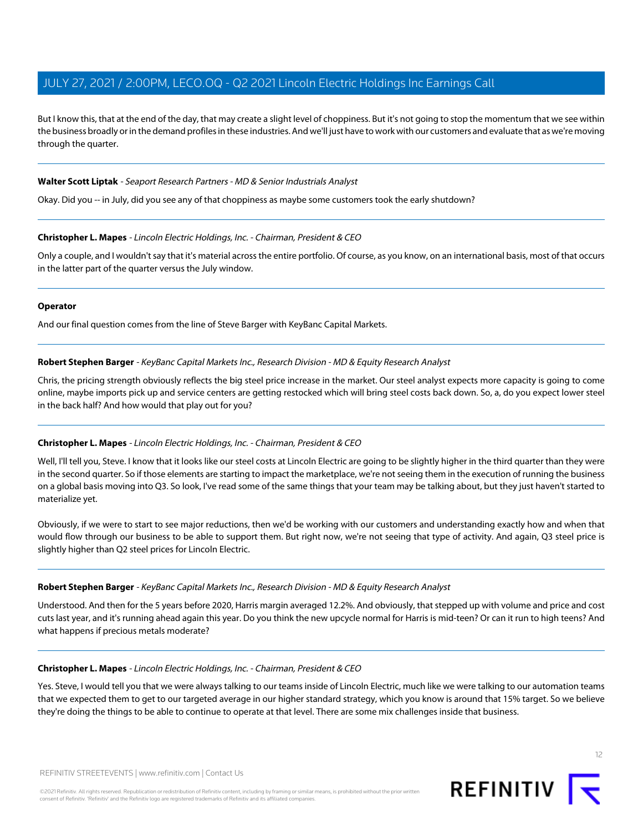But I know this, that at the end of the day, that may create a slight level of choppiness. But it's not going to stop the momentum that we see within the business broadly or in the demand profiles in these industries. And we'll just have to work with our customers and evaluate that as we're moving through the quarter.

#### **Walter Scott Liptak** - Seaport Research Partners - MD & Senior Industrials Analyst

Okay. Did you -- in July, did you see any of that choppiness as maybe some customers took the early shutdown?

#### **Christopher L. Mapes** - Lincoln Electric Holdings, Inc. - Chairman, President & CEO

Only a couple, and I wouldn't say that it's material across the entire portfolio. Of course, as you know, on an international basis, most of that occurs in the latter part of the quarter versus the July window.

#### **Operator**

And our final question comes from the line of Steve Barger with KeyBanc Capital Markets.

#### **Robert Stephen Barger** - KeyBanc Capital Markets Inc., Research Division - MD & Equity Research Analyst

Chris, the pricing strength obviously reflects the big steel price increase in the market. Our steel analyst expects more capacity is going to come online, maybe imports pick up and service centers are getting restocked which will bring steel costs back down. So, a, do you expect lower steel in the back half? And how would that play out for you?

## **Christopher L. Mapes** - Lincoln Electric Holdings, Inc. - Chairman, President & CEO

Well, I'll tell you, Steve. I know that it looks like our steel costs at Lincoln Electric are going to be slightly higher in the third quarter than they were in the second quarter. So if those elements are starting to impact the marketplace, we're not seeing them in the execution of running the business on a global basis moving into Q3. So look, I've read some of the same things that your team may be talking about, but they just haven't started to materialize yet.

Obviously, if we were to start to see major reductions, then we'd be working with our customers and understanding exactly how and when that would flow through our business to be able to support them. But right now, we're not seeing that type of activity. And again, Q3 steel price is slightly higher than Q2 steel prices for Lincoln Electric.

#### **Robert Stephen Barger** - KeyBanc Capital Markets Inc., Research Division - MD & Equity Research Analyst

Understood. And then for the 5 years before 2020, Harris margin averaged 12.2%. And obviously, that stepped up with volume and price and cost cuts last year, and it's running ahead again this year. Do you think the new upcycle normal for Harris is mid-teen? Or can it run to high teens? And what happens if precious metals moderate?

#### **Christopher L. Mapes** - Lincoln Electric Holdings, Inc. - Chairman, President & CEO

Yes. Steve, I would tell you that we were always talking to our teams inside of Lincoln Electric, much like we were talking to our automation teams that we expected them to get to our targeted average in our higher standard strategy, which you know is around that 15% target. So we believe they're doing the things to be able to continue to operate at that level. There are some mix challenges inside that business.